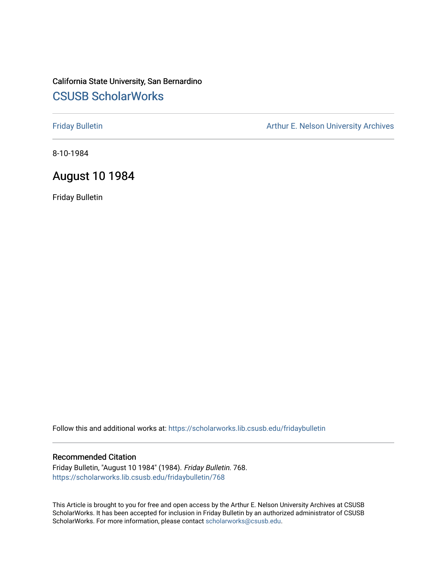# California State University, San Bernardino [CSUSB ScholarWorks](https://scholarworks.lib.csusb.edu/)

[Friday Bulletin](https://scholarworks.lib.csusb.edu/fridaybulletin) **Arthur E. Nelson University Archives** Arthur E. Nelson University Archives

8-10-1984

# August 10 1984

Friday Bulletin

Follow this and additional works at: [https://scholarworks.lib.csusb.edu/fridaybulletin](https://scholarworks.lib.csusb.edu/fridaybulletin?utm_source=scholarworks.lib.csusb.edu%2Ffridaybulletin%2F768&utm_medium=PDF&utm_campaign=PDFCoverPages)

#### Recommended Citation

Friday Bulletin, "August 10 1984" (1984). Friday Bulletin. 768. [https://scholarworks.lib.csusb.edu/fridaybulletin/768](https://scholarworks.lib.csusb.edu/fridaybulletin/768?utm_source=scholarworks.lib.csusb.edu%2Ffridaybulletin%2F768&utm_medium=PDF&utm_campaign=PDFCoverPages)

This Article is brought to you for free and open access by the Arthur E. Nelson University Archives at CSUSB ScholarWorks. It has been accepted for inclusion in Friday Bulletin by an authorized administrator of CSUSB ScholarWorks. For more information, please contact [scholarworks@csusb.edu.](mailto:scholarworks@csusb.edu)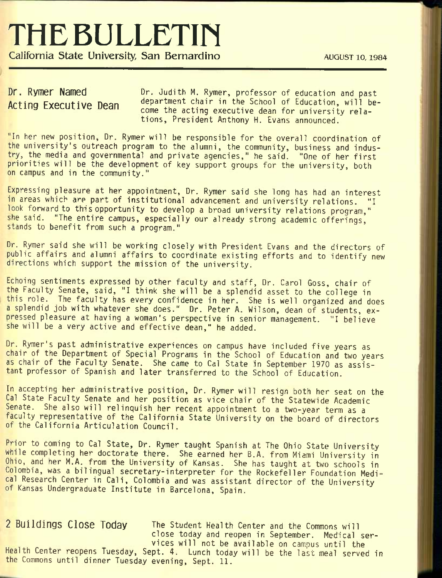# **THE BULLETIN**

California State University, San Bernardino **AUGUST 10, 1984** 

Dr. Rymer Named Acting Executive Dean Dr. Judith M. Rymer, professor of education and past department chair in the School of Education, will become the acting executive dean for university relations, President Anthony H. Evans announced.

"In her new position. Dr. Rymer will be responsible for the overall coordination of the university's outreach program to the alumni, the community, business and industry, the media and governmental and private agencies," he said. "One of her first priorities will be the development of key support groups for the university, both on campus and In the community."

Expressing pleasure at her appointment, Dr. Rymer said she long has had an interest in areas which are part of institutional advancement and university relations. "I look forward to this opportunity to develop a broad university relations program," she said. "The entire campus, especially our already strong academic offerings, stands to benefit from such a program."

Dr. Rymer said she will be working closely with President Evans and the directors of public affairs and alumni affairs to coordinate existing efforts and to identify new directions which support the mission of the university.

Echoing sentiments expressed by other faculty and staff. Dr. Carol Goss, chair of the Faculty Senate, said, "I think she will be a splendid asset to the college in this role. The faculty has every confidence in her. She is well organized and does a splendid job with whatever she does." Dr. Peter A. Wilson, dean of students, expressed pleasure at having a woman's perspective in senior management. "I believe she will be a very active and effective dean," he added.

Dr. Rymer's past administrative experiences on campus have included five years as chair of the Department of Special Programs In the School of Education and two years as chair of the Faculty Senate. She came to Gal State In September 1970 as assistant professor of Spanish and later transferred to the School of Education.

In accepting her administrative position. Dr. Rymer will resign both her seat on the Cal State Faculty Senate and her position as vice chair of the Statewide Academic Senate. She also will relinquish her recent appointment to a two-year term as a faculty representative of the California State University on the board of directors of the California Articulation Council.

Prior to coming to Cal State, Dr. Rymer taught Spanish at The Ohio State University while completing her doctorate there. She earned her B.A. from Miami University in Ohio, and her M.A. from the University of Kansas. She has taught at two schools In Colombia, was a bilingual secretary-interpreter for the Rockefeller Foundation Medical Research Center in Cali, Colombia and was assistant director of the University of Kansas Undergraduate Institute In Barcelona, Spain.

2 Buildings Close Today The Student Health Center and the Commons will close today and reopen In September. Medical services will not be available on campus until the Health Center reopens Tuesday, Sept. 4. Lunch today will be the last meal served in the Commons until dinner Tuesday evening, Sept. 11.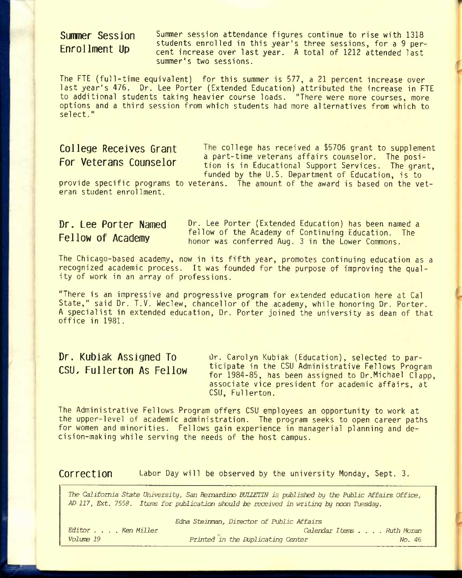# Summer Session Enrollment Up

Summer session attendance figures continue to rise with 1318 students enrolled in this year's three sessions, for a 9 percent increase over last year. A total of 1212 attended last summer's two sessions.

The FIE (full-time equivalent) for this summer is 577, a 21 percent increase over last year's 476. Dr. Lee Porter (Extended Education) attributed the increase in FIE to additional students taking heavier course loads. "There were more courses, more options and a third session from which students had more alternatives from which to select."

College Receives Grant The college has received a \$5706 grant to supplement Por **Veterans Counselor** a part-time veterans affairs counselor. The posi-<br>For **Veterans Counselor** tion is in Educational Support Services. The graph tion is in Educational Support Services. The grant, funded by the U.S. Department of Education, is to

provide specific programs to veterans. The amount of the award is based on the veteran student enrollment.

## Dr. Lee Porter Named Fellow of Academy

Dr. Lee Porter (Extended Education) has been named a fellow of the Academy of Continuing Education. The honor was conferred Aug. 3 in the Lower Commons.

The Chicago-based academy, now in its fifth year, promotes continuing education as a recognized academic process. It was founded for the purpose of improving the quality of work in an array of professions.

"There is an impressive and progressive program for extended education here at Cal State," said Dr. T.V. Weclew, chancellor of the academy, while honoring Dr. Porter. A specialist in extended education, Dr. Porter joined the university as dean of that office in 1981.

# Dr. Kublak Assigned To CSU. Fullerton As Fellow

Dr. Carolyn Kubiak (Education), selected to participate in the CSU Administrative Fellows Program for 1984-85, has been assigned to Dr.Michael Clapp, associate vice president for academic affairs, at CSU, Fullerton.

The Administrative Fellows Program offers CSU employees an opportunity to work at the upper-level of academic administration. The program seeks to open career paths for women and minorities. Fellows gain experience in managerial planning and decision-making while serving the needs of the host campus.

Correction Labor Day will be observed by the university Monday, Sept. 3.

*The California State University, San Bernardino BJIIETIN is published by the Public Affaijrs Office, M) 117, Ext. 7558. Iterns for publication should be received in writing by nocn Tuesday.* 

|                   | Edna Steinman, Director of Public Affairs |                           |
|-------------------|-------------------------------------------|---------------------------|
| Editor Ken Miller |                                           | Calendar Items Ruth Moran |
| Volume 19         | Printed in the Duplicating Center         | No. 46                    |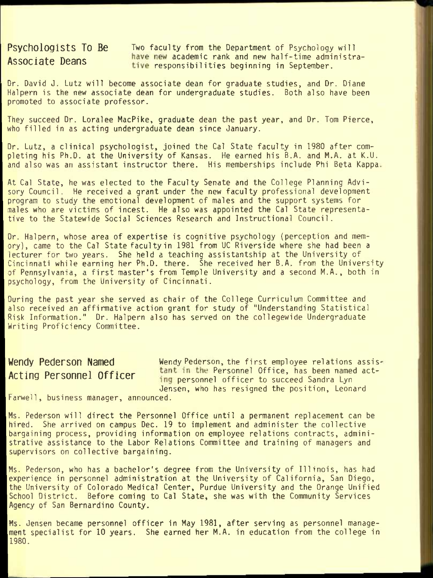Psychologists To Be Two faculty from the Department of Psychology will Associate Deans have new academic rank and new half-time administrative responsibilities beginning in September.

Dr. David J. Lutz will become associate dean for graduate studies, and Dr. Diane Halpern is the new associate dean for undergraduate studies. Both also have been promoted to associate professor.

They succeed Dr. Loralee MacPike, graduate dean the past year, and Dr. Tom Pierce, who filled in as acting undergraduate dean since January.

Dr. Lutz, a clinical psychologist, joined the Cal State faculty in 1980 after completing his Ph.D. at the University of Kansas. He earned his B.A. and M.A. at K.U. and also was an assistant instructor there. His memberships include Phi Beta Kappa

At Cal State, he was elected to the Faculty Senate and the College Planning Advisory Council. He received a grant under the new faculty professional development program to study the emotional development of males and the support systems for males who are victims of incest. He also was appointed the Cal State representative to the Statewide Social Sciences Research and Instructional Council.

Dr. Halpern, whose area of expertise is cognitive psychology (perception and memory), came to the Cal State faculty in 1981 from UC Riverside where she had been a lecturer for two years. She held a teaching assistantship at the University of Cincinnati while earning her Ph.D. there. She received her B.A. from the University of Pennsylvania, a first master's from Temple University and a second M.A., both in psychology, from the University of Cincinnati.

During the past year she served as chair of the College Curriculum Committee and also received an affirmative action grant for study of "Understanding Statistical Risk Information." Dr. Halpern also has served on the collegewide Undergraduate Writing Proficiency Committee.

Wendy Pederson Named Wendy Pederson, the first employee relations assis-Acting Personnel Officer tant in the Personnel Office, has been named acting personnel officer to succeed Sandra Lyn Jensen, who has resigned the position, Leonard

Farwell, business manager, announced.

Ms. Pederson will direct the Personnel Office until a permanent replacement can be hired. She arrived on campus Dec. 19 to implement and administer the collective bargaining process, providing information on employee relations contracts, administrative assistance to the Labor Relations Committee and training of managers and supervisors on collective bargaining.

Ms. Pederson, who has a bachelor's degree from the University of Illinois, has had experience in personnel administration at the University of California, San Diego, the University of Colorado Medical Center, Purdue University and the Orange Unified School District. Before coming to Cal State, she was with the Community Services Agency of San Bernardino County.

Ms. Jensen became personnel officer in May 1981, after serving as personnel management specialist for 10 years. She earned her M.A. in education from the college in 1980.